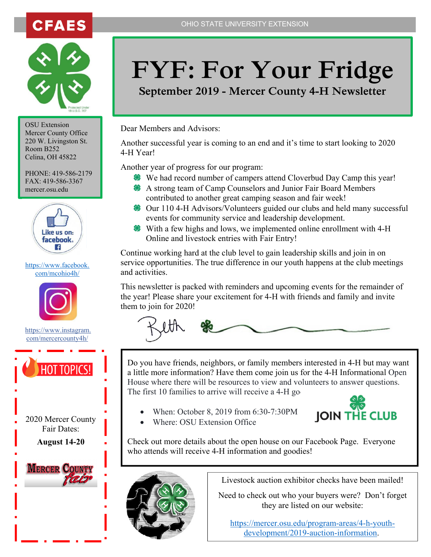



OSU Extension Mercer County Office 220 W. Livingston St. Room B252 Celina, OH 45822

PHONE: 419-586-2179 FAX: 419-586-3367 mercer.osu.edu



#### https://www.facebook. com/mcohio4h/



https://www.instagram. com/mercercounty4h/



2020 Mercer County Fair Dates: **August 14-20** 



# **FYF: For Your Fridge**

**September 2019 - Mercer County 4-H Newsletter** 

Dear Members and Advisors:

Another successful year is coming to an end and it's time to start looking to 2020 4-H Year!

Another year of progress for our program:

- We had record number of campers attend Cloverbud Day Camp this year!
- A strong team of Camp Counselors and Junior Fair Board Members contributed to another great camping season and fair week!
- <sup>8</sup> Our 110 4-H Advisors/Volunteers guided our clubs and held many successful events for community service and leadership development.
- With a few highs and lows, we implemented online enrollment with 4-H Online and livestock entries with Fair Entry!

Continue working hard at the club level to gain leadership skills and join in on service opportunities. The true difference in our youth happens at the club meetings and activities.

This newsletter is packed with reminders and upcoming events for the remainder of the year! Please share your excitement for 4-H with friends and family and invite them to join for 2020!



Do you have friends, neighbors, or family members interested in 4-H but may want a little more information? Have them come join us for the 4-H Informational Open House where there will be resources to view and volunteers to answer questions. The first 10 families to arrive will receive a  $4-H$  go

• When: October 8, 2019 from 6:30-7:30PM



• Where: OSU Extension Office

Check out more details about the open house on our Facebook Page. Everyone who attends will receive 4-H information and goodies!



Livestock auction exhibitor checks have been mailed!

Need to check out who your buyers were? Don't forget they are listed on our website:

https://mercer.osu.edu/program-areas/4-h-youthdevelopment/2019-auction-information.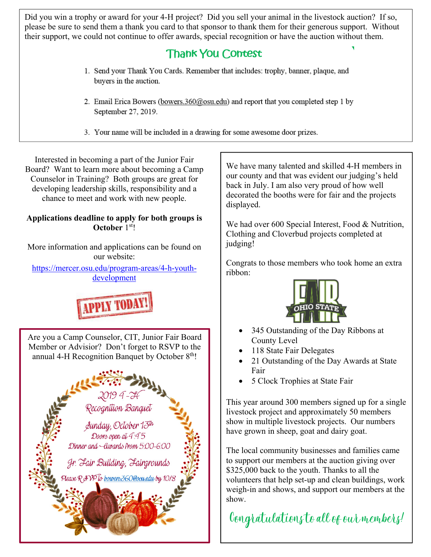Did you win a trophy or award for your 4-H project? Did you sell your animal in the livestock auction? If so, please be sure to send them a thank you card to that sponsor to thank them for their generous support. Without their support, we could not continue to offer awards, special recognition or have the auction without them.

## **Thank You Contest**

- 1. Send your Thank You Cards. Remember that includes: trophy, banner, plaque, and buyers in the auction.
- 2. Email Erica Bowers (bowers.360@osu.edu) and report that you completed step 1 by September 27, 2019.
- 3. Your name will be included in a drawing for some awesome door prizes.

Interested in becoming a part of the Junior Fair Board? Want to learn more about becoming a Camp Counselor in Training? Both groups are great for developing leadership skills, responsibility and a chance to meet and work with new people.

#### **Applications deadline to apply for both groups is October** 1<sup>st</sup>!

More information and applications can be found on our website:

https://mercer.osu.edu/program-areas/4-h-youthdevelopment



Are you a Camp Counselor, CIT, Junior Fair Board Member or Advisior? Don't forget to RSVP to the annual 4-H Recognition Banquet by October  $8<sup>th</sup>$ !



We have many talented and skilled 4-H members in our county and that was evident our judging's held back in July. I am also very proud of how well decorated the booths were for fair and the projects displayed.

We had over 600 Special Interest, Food & Nutrition, Clothing and Cloverbud projects completed at judging!

Congrats to those members who took home an extra ribbon:



- 345 Outstanding of the Day Ribbons at County Level
- 118 State Fair Delegates
- 21 Outstanding of the Day Awards at State Fair
- 5 Clock Trophies at State Fair

This year around 300 members signed up for a single livestock project and approximately 50 members show in multiple livestock projects. Our numbers have grown in sheep, goat and dairy goat.

The local community businesses and families came to support our members at the auction giving over \$325,000 back to the youth. Thanks to all the volunteers that help set-up and clean buildings, work weigh-in and shows, and support our members at the show.

Congratulations to all of our members!